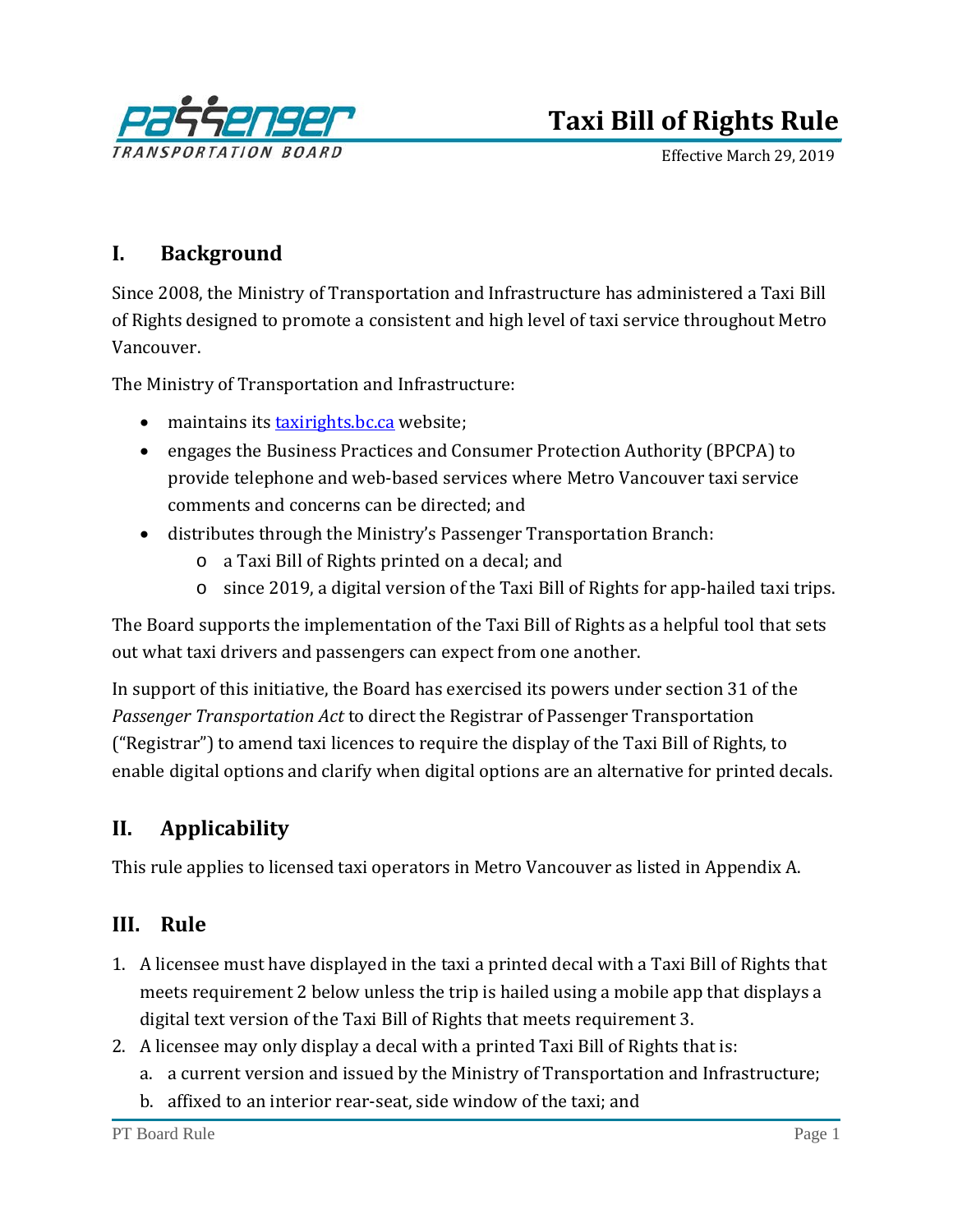

# **Taxi Bill of Rights Rule**

Effective March 29, 2019

# **I. Background**

Since 2008, the Ministry of Transportation and Infrastructure has administered a Taxi Bill of Rights designed to promote a consistent and high level of taxi service throughout Metro Vancouver.

The Ministry of Transportation and Infrastructure:

- maintains its **taxirights.bc.ca** website;
- engages the Business Practices and Consumer Protection Authority (BPCPA) to provide telephone and web-based services where Metro Vancouver taxi service comments and concerns can be directed; and
- distributes through the Ministry's Passenger Transportation Branch:
	- o a Taxi Bill of Rights printed on a decal; and
	- o since 2019, a digital version of the Taxi Bill of Rights for app-hailed taxi trips.

The Board supports the implementation of the Taxi Bill of Rights as a helpful tool that sets out what taxi drivers and passengers can expect from one another.

In support of this initiative, the Board has exercised its powers under section 31 of the *Passenger Transportation Act* to direct the Registrar of Passenger Transportation ("Registrar") to amend taxi licences to require the display of the Taxi Bill of Rights, to enable digital options and clarify when digital options are an alternative for printed decals.

# **II. Applicability**

This rule applies to licensed taxi operators in Metro Vancouver as listed in Appendix A.

### **III. Rule**

- 1. A licensee must have displayed in the taxi a printed decal with a Taxi Bill of Rights that meets requirement 2 below unless the trip is hailed using a mobile app that displays a digital text version of the Taxi Bill of Rights that meets requirement 3.
- 2. A licensee may only display a decal with a printed Taxi Bill of Rights that is:
	- a. a current version and issued by the Ministry of Transportation and Infrastructure;
	- b. affixed to an interior rear-seat, side window of the taxi; and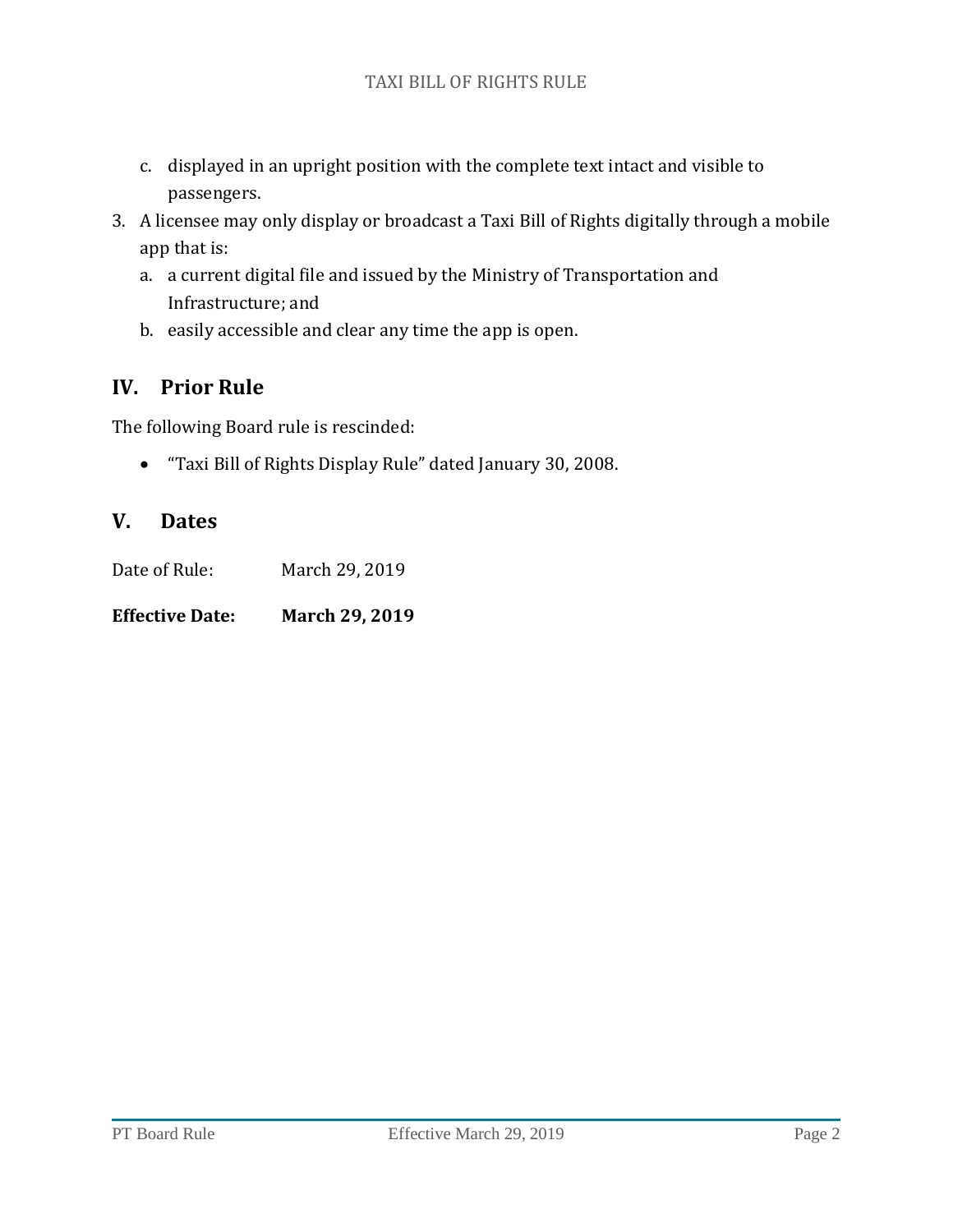- c. displayed in an upright position with the complete text intact and visible to passengers.
- 3. A licensee may only display or broadcast a Taxi Bill of Rights digitally through a mobile app that is:
	- a. a current digital file and issued by the Ministry of Transportation and Infrastructure; and
	- b. easily accessible and clear any time the app is open.

## **IV. Prior Rule**

The following Board rule is rescinded:

• "Taxi Bill of Rights Display Rule" dated January 30, 2008.

## **V. Dates**

Date of Rule: March 29, 2019

**Effective Date: March 29, 2019**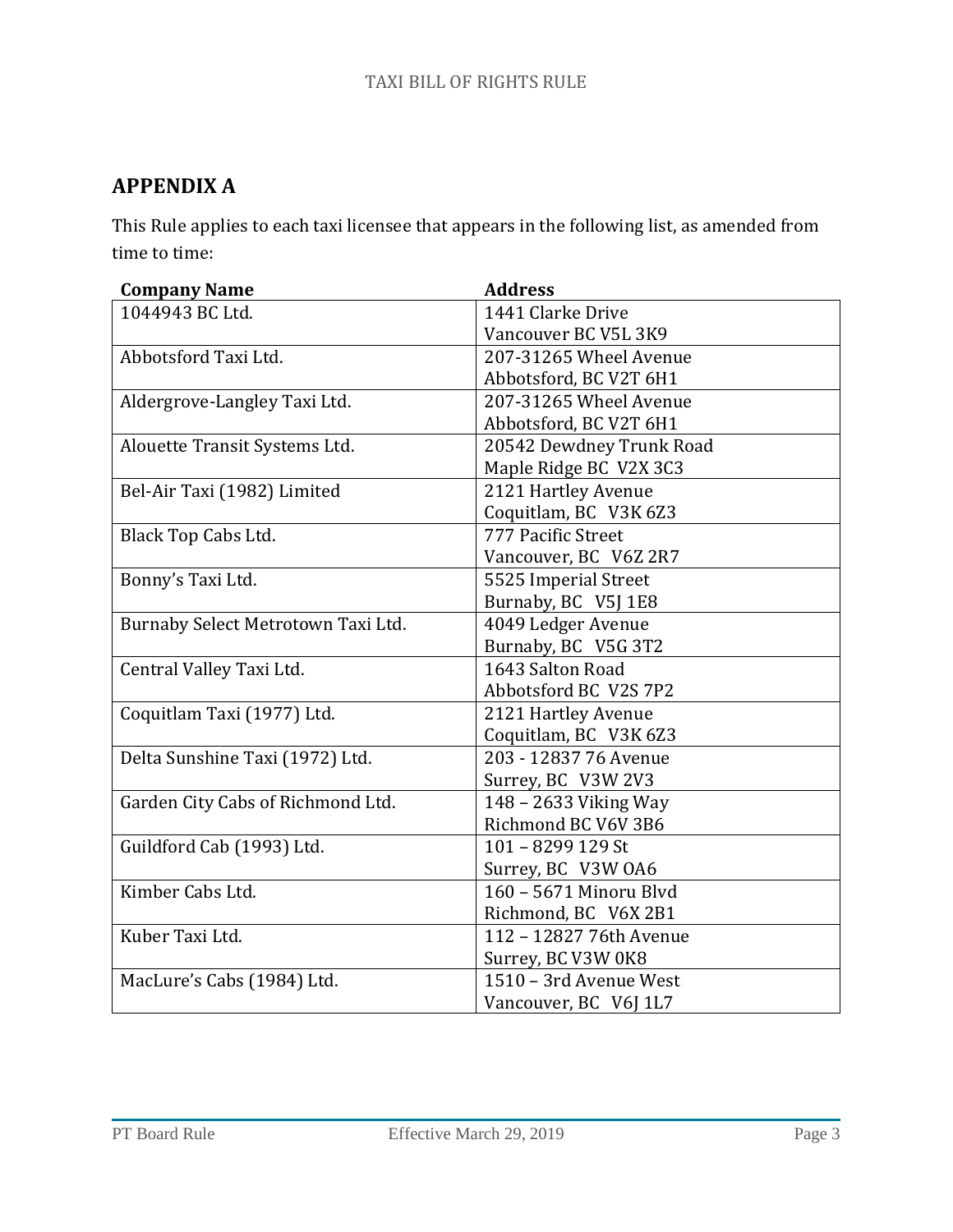# **APPENDIX A**

This Rule applies to each taxi licensee that appears in the following list, as amended from time to time:

| <b>Company Name</b>                | <b>Address</b>           |
|------------------------------------|--------------------------|
| 1044943 BC Ltd.                    | 1441 Clarke Drive        |
|                                    | Vancouver BC V5L 3K9     |
| Abbotsford Taxi Ltd.               | 207-31265 Wheel Avenue   |
|                                    | Abbotsford, BC V2T 6H1   |
| Aldergrove-Langley Taxi Ltd.       | 207-31265 Wheel Avenue   |
|                                    | Abbotsford, BC V2T 6H1   |
| Alouette Transit Systems Ltd.      | 20542 Dewdney Trunk Road |
|                                    | Maple Ridge BC V2X 3C3   |
| Bel-Air Taxi (1982) Limited        | 2121 Hartley Avenue      |
|                                    | Coquitlam, BC V3K 6Z3    |
| Black Top Cabs Ltd.                | 777 Pacific Street       |
|                                    | Vancouver, BC V6Z 2R7    |
| Bonny's Taxi Ltd.                  | 5525 Imperial Street     |
|                                    | Burnaby, BC V5J 1E8      |
| Burnaby Select Metrotown Taxi Ltd. | 4049 Ledger Avenue       |
|                                    | Burnaby, BC V5G 3T2      |
| Central Valley Taxi Ltd.           | 1643 Salton Road         |
|                                    | Abbotsford BC V2S 7P2    |
| Coquitlam Taxi (1977) Ltd.         | 2121 Hartley Avenue      |
|                                    | Coquitlam, BC V3K 6Z3    |
| Delta Sunshine Taxi (1972) Ltd.    | 203 - 12837 76 Avenue    |
|                                    | Surrey, BC V3W 2V3       |
| Garden City Cabs of Richmond Ltd.  | 148 - 2633 Viking Way    |
|                                    | Richmond BC V6V 3B6      |
| Guildford Cab (1993) Ltd.          | 101 - 8299 129 St        |
|                                    | Surrey, BC V3W 0A6       |
| Kimber Cabs Ltd.                   | 160 - 5671 Minoru Blyd   |
|                                    | Richmond, BC V6X 2B1     |
| Kuber Taxi Ltd.                    | 112 - 12827 76th Avenue  |
|                                    | Surrey, BC V3W 0K8       |
| MacLure's Cabs (1984) Ltd.         | 1510 - 3rd Avenue West   |
|                                    | Vancouver, BC V6J 1L7    |